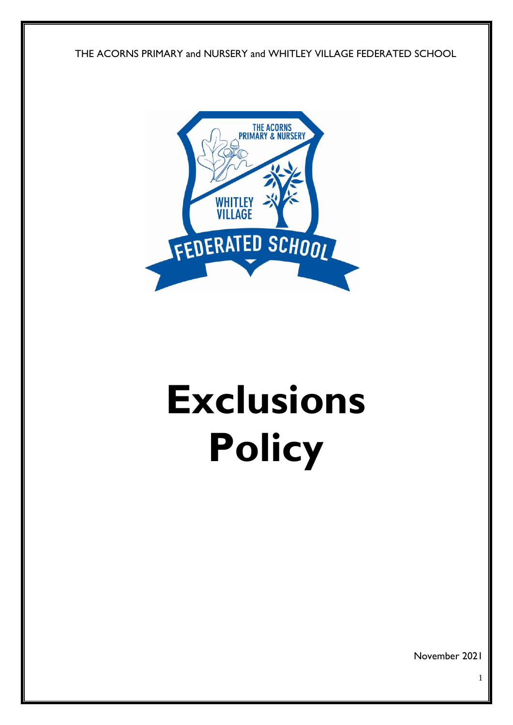THE ACORNS PRIMARY and NURSERY and WHITLEY VILLAGE FEDERATED SCHOOL



# **Exclusions Policy**

November 2021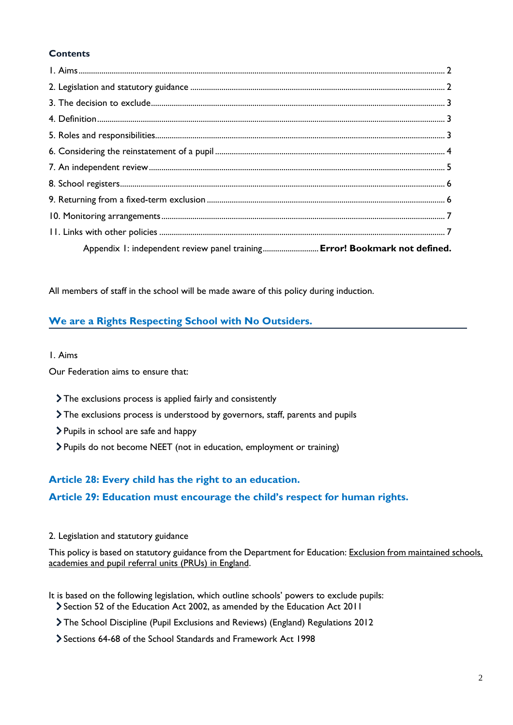# **Contents**

| Appendix 1: independent review panel training Error! Bookmark not defined. |  |
|----------------------------------------------------------------------------|--|

All members of staff in the school will be made aware of this policy during induction.

# **We are a Rights Respecting School with No Outsiders.**

#### 1. Aims

Our Federation aims to ensure that:

- The exclusions process is applied fairly and consistently
- The exclusions process is understood by governors, staff, parents and pupils
- Pupils in school are safe and happy
- Pupils do not become NEET (not in education, employment or training)

# **Article 28: Every child has the right to an education.**

## **Article 29: Education must encourage the child's respect for human rights.**

#### 2. Legislation and statutory guidance

This policy is based on statutory guidance from the Department for Education[: Exclusion from maintained schools,](https://www.gov.uk/government/publications/school-exclusion)  [academies and pupil referral units \(PRUs\) in England.](https://www.gov.uk/government/publications/school-exclusion)

- It is based on the following legislation, which outline schools' powers to exclude pupils: Section 52 of the [Education Act 2002,](http://www.legislation.gov.uk/ukpga/2002/32/section/52) as amended by the [Education Act 2011](http://www.legislation.gov.uk/ukpga/2011/21/contents/enacted)
	- [The School Discipline \(Pupil Exclusions and Reviews\) \(England\) Regulations 2012](http://www.legislation.gov.uk/uksi/2012/1033/made)
	- Sections 64-68 of the [School Standards and Framework Act 1998](http://www.legislation.gov.uk/ukpga/1998/31)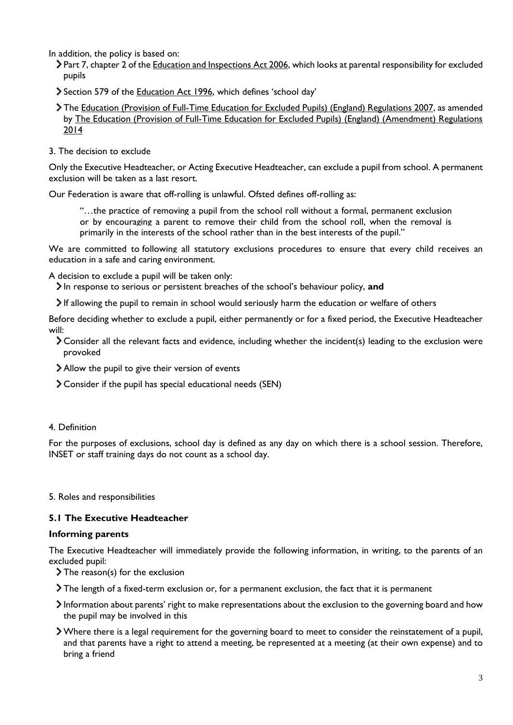In addition, the policy is based on:

- > Part 7, chapter 2 of the [Education and Inspections Act 2006,](http://www.legislation.gov.uk/ukpga/2006/40/part/7/chapter/2) which looks at parental responsibility for excluded pupils
- Section 579 of the [Education Act 1996](http://www.legislation.gov.uk/ukpga/1996/56/section/579), which defines 'school day'
- The [Education \(Provision of Full-Time Education for Excluded Pupils\) \(England\) Regulations 2007,](http://www.legislation.gov.uk/uksi/2007/1870/contents/made) as amended by [The Education \(Provision of Full-Time Education for Excluded Pupils\) \(England\) \(Amendment\) Regulations](http://www.legislation.gov.uk/uksi/2014/3216/contents/made)  [2014](http://www.legislation.gov.uk/uksi/2014/3216/contents/made)
- 3. The decision to exclude

Only the Executive Headteacher, or Acting Executive Headteacher, can exclude a pupil from school. A permanent exclusion will be taken as a last resort.

Our Federation is aware that off-rolling is unlawful. Ofsted defines off-rolling as:

"…the practice of removing a pupil from the school roll without a formal, permanent exclusion or by encouraging a parent to remove their child from the school roll, when the removal is primarily in the interests of the school rather than in the best interests of the pupil."

We are committed to following all statutory exclusions procedures to ensure that every child receives an education in a safe and caring environment.

A decision to exclude a pupil will be taken only:

- In response to serious or persistent breaches of the school's behaviour policy, **and**
- If allowing the pupil to remain in school would seriously harm the education or welfare of others

Before deciding whether to exclude a pupil, either permanently or for a fixed period, the Executive Headteacher will:

- Consider all the relevant facts and evidence, including whether the incident(s) leading to the exclusion were provoked
- Allow the pupil to give their version of events
- Consider if the pupil has special educational needs (SEN)

#### 4. Definition

For the purposes of exclusions, school day is defined as any day on which there is a school session. Therefore, INSET or staff training days do not count as a school day.

5. Roles and responsibilities

## **5.1 The Executive Headteacher**

#### **Informing parents**

The Executive Headteacher will immediately provide the following information, in writing, to the parents of an excluded pupil:

- $\sum$  The reason(s) for the exclusion
- The length of a fixed-term exclusion or, for a permanent exclusion, the fact that it is permanent
- Information about parents' right to make representations about the exclusion to the governing board and how the pupil may be involved in this
- Where there is a legal requirement for the governing board to meet to consider the reinstatement of a pupil, and that parents have a right to attend a meeting, be represented at a meeting (at their own expense) and to bring a friend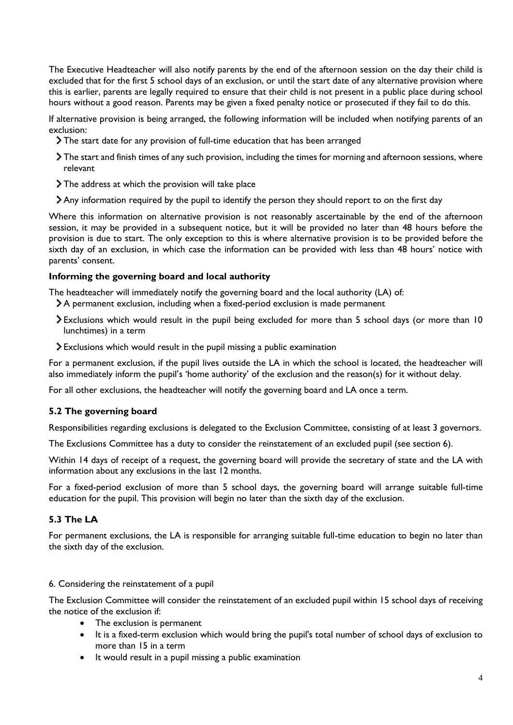The Executive Headteacher will also notify parents by the end of the afternoon session on the day their child is excluded that for the first 5 school days of an exclusion, or until the start date of any alternative provision where this is earlier, parents are legally required to ensure that their child is not present in a public place during school hours without a good reason. Parents may be given a fixed penalty notice or prosecuted if they fail to do this.

If alternative provision is being arranged, the following information will be included when notifying parents of an exclusion:

- The start date for any provision of full-time education that has been arranged
- The start and finish times of any such provision, including the times for morning and afternoon sessions, where relevant
- > The address at which the provision will take place
- Any information required by the pupil to identify the person they should report to on the first day

Where this information on alternative provision is not reasonably ascertainable by the end of the afternoon session, it may be provided in a subsequent notice, but it will be provided no later than 48 hours before the provision is due to start. The only exception to this is where alternative provision is to be provided before the sixth day of an exclusion, in which case the information can be provided with less than 48 hours' notice with parents' consent.

#### **Informing the governing board and local authority**

The headteacher will immediately notify the governing board and the local authority (LA) of:

- A permanent exclusion, including when a fixed-period exclusion is made permanent
- Exclusions which would result in the pupil being excluded for more than 5 school days (or more than 10 lunchtimes) in a term
- Exclusions which would result in the pupil missing a public examination

For a permanent exclusion, if the pupil lives outside the LA in which the school is located, the headteacher will also immediately inform the pupil's 'home authority' of the exclusion and the reason(s) for it without delay.

For all other exclusions, the headteacher will notify the governing board and LA once a term.

## **5.2 The governing board**

Responsibilities regarding exclusions is delegated to the Exclusion Committee, consisting of at least 3 governors.

The Exclusions Committee has a duty to consider the reinstatement of an excluded pupil (see section 6).

Within 14 days of receipt of a request, the governing board will provide the secretary of state and the LA with information about any exclusions in the last 12 months.

For a fixed-period exclusion of more than 5 school days, the governing board will arrange suitable full-time education for the pupil. This provision will begin no later than the sixth day of the exclusion.

## **5.3 The LA**

For permanent exclusions, the LA is responsible for arranging suitable full-time education to begin no later than the sixth day of the exclusion.

#### 6. Considering the reinstatement of a pupil

The Exclusion Committee will consider the reinstatement of an excluded pupil within 15 school days of receiving the notice of the exclusion if:

- The exclusion is permanent
- It is a fixed-term exclusion which would bring the pupil's total number of school days of exclusion to more than 15 in a term
- It would result in a pupil missing a public examination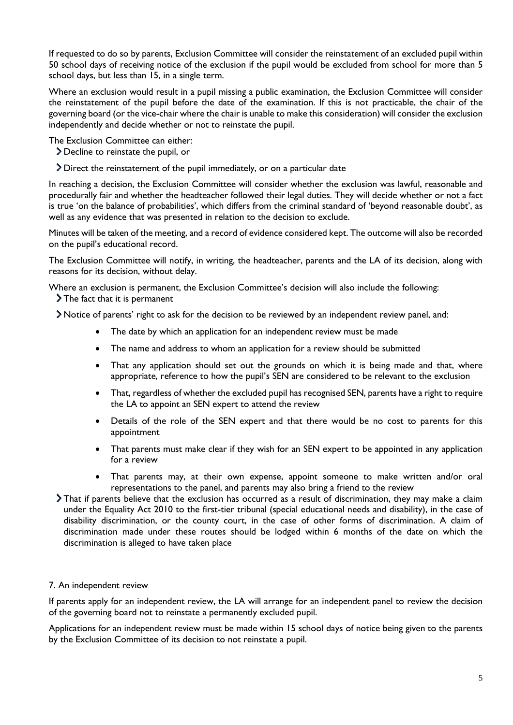If requested to do so by parents, Exclusion Committee will consider the reinstatement of an excluded pupil within 50 school days of receiving notice of the exclusion if the pupil would be excluded from school for more than 5 school days, but less than 15, in a single term.

Where an exclusion would result in a pupil missing a public examination, the Exclusion Committee will consider the reinstatement of the pupil before the date of the examination. If this is not practicable, the chair of the governing board (or the vice-chair where the chair is unable to make this consideration) will consider the exclusion independently and decide whether or not to reinstate the pupil.

The Exclusion Committee can either:

- Decline to reinstate the pupil, or
- Direct the reinstatement of the pupil immediately, or on a particular date

In reaching a decision, the Exclusion Committee will consider whether the exclusion was lawful, reasonable and procedurally fair and whether the headteacher followed their legal duties. They will decide whether or not a fact is true 'on the balance of probabilities', which differs from the criminal standard of 'beyond reasonable doubt', as well as any evidence that was presented in relation to the decision to exclude.

Minutes will be taken of the meeting, and a record of evidence considered kept. The outcome will also be recorded on the pupil's educational record.

The Exclusion Committee will notify, in writing, the headteacher, parents and the LA of its decision, along with reasons for its decision, without delay.

Where an exclusion is permanent, the Exclusion Committee's decision will also include the following: > The fact that it is permanent

- Notice of parents' right to ask for the decision to be reviewed by an independent review panel, and:
	- The date by which an application for an independent review must be made
	- The name and address to whom an application for a review should be submitted
	- That any application should set out the grounds on which it is being made and that, where appropriate, reference to how the pupil's SEN are considered to be relevant to the exclusion
	- That, regardless of whether the excluded pupil has recognised SEN, parents have a right to require the LA to appoint an SEN expert to attend the review
	- Details of the role of the SEN expert and that there would be no cost to parents for this appointment
	- That parents must make clear if they wish for an SEN expert to be appointed in any application for a review
	- That parents may, at their own expense, appoint someone to make written and/or oral representations to the panel, and parents may also bring a friend to the review
- That if parents believe that the exclusion has occurred as a result of discrimination, they may make a claim under the Equality Act 2010 to the first-tier tribunal (special educational needs and disability), in the case of disability discrimination, or the county court, in the case of other forms of discrimination. A claim of discrimination made under these routes should be lodged within 6 months of the date on which the discrimination is alleged to have taken place

#### 7. An independent review

If parents apply for an independent review, the LA will arrange for an independent panel to review the decision of the governing board not to reinstate a permanently excluded pupil.

Applications for an independent review must be made within 15 school days of notice being given to the parents by the Exclusion Committee of its decision to not reinstate a pupil.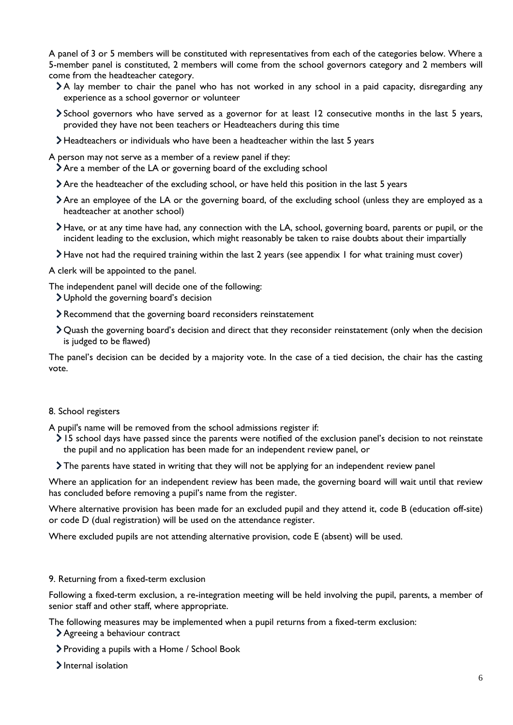A panel of 3 or 5 members will be constituted with representatives from each of the categories below. Where a 5-member panel is constituted, 2 members will come from the school governors category and 2 members will come from the headteacher category.

- A lay member to chair the panel who has not worked in any school in a paid capacity, disregarding any experience as a school governor or volunteer
- School governors who have served as a governor for at least 12 consecutive months in the last 5 years, provided they have not been teachers or Headteachers during this time
- Headteachers or individuals who have been a headteacher within the last 5 years

A person may not serve as a member of a review panel if they:

- Are a member of the LA or governing board of the excluding school
- Are the headteacher of the excluding school, or have held this position in the last 5 years
- Are an employee of the LA or the governing board, of the excluding school (unless they are employed as a headteacher at another school)
- Have, or at any time have had, any connection with the LA, school, governing board, parents or pupil, or the incident leading to the exclusion, which might reasonably be taken to raise doubts about their impartially
- Have not had the required training within the last 2 years (see appendix 1 for what training must cover)

A clerk will be appointed to the panel.

The independent panel will decide one of the following:

- Uphold the governing board's decision
- Recommend that the governing board reconsiders reinstatement
- Quash the governing board's decision and direct that they reconsider reinstatement (only when the decision is judged to be flawed)

The panel's decision can be decided by a majority vote. In the case of a tied decision, the chair has the casting vote.

#### 8. School registers

A pupil's name will be removed from the school admissions register if:

- 15 school days have passed since the parents were notified of the exclusion panel's decision to not reinstate the pupil and no application has been made for an independent review panel, or
- The parents have stated in writing that they will not be applying for an independent review panel

Where an application for an independent review has been made, the governing board will wait until that review has concluded before removing a pupil's name from the register.

Where alternative provision has been made for an excluded pupil and they attend it, code B (education off-site) or code D (dual registration) will be used on the attendance register.

Where excluded pupils are not attending alternative provision, code E (absent) will be used.

#### 9. Returning from a fixed-term exclusion

Following a fixed-term exclusion, a re-integration meeting will be held involving the pupil, parents, a member of senior staff and other staff, where appropriate.

The following measures may be implemented when a pupil returns from a fixed-term exclusion:

- Agreeing a behaviour contract
- Providing a pupils with a Home / School Book
- > Internal isolation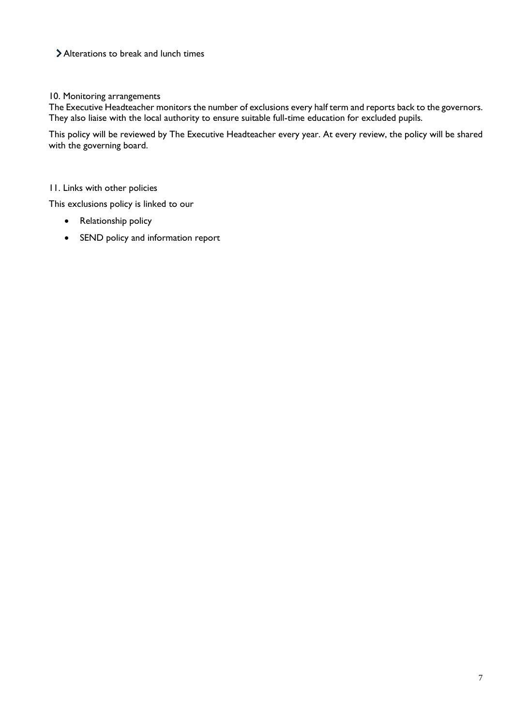# Alterations to break and lunch times

#### 10. Monitoring arrangements

The Executive Headteacher monitors the number of exclusions every half term and reports back to the governors. They also liaise with the local authority to ensure suitable full-time education for excluded pupils.

This policy will be reviewed by The Executive Headteacher every year. At every review, the policy will be shared with the governing board.

#### 11. Links with other policies

This exclusions policy is linked to our

- Relationship policy
- SEND policy and information report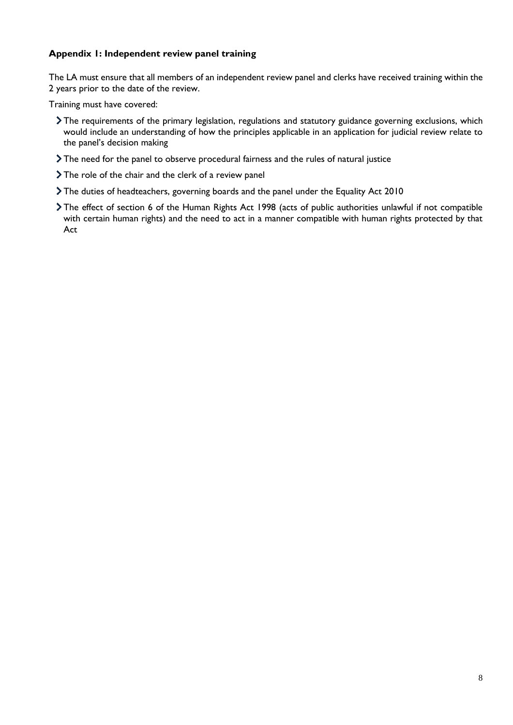## **Appendix 1: Independent review panel training**

The LA must ensure that all members of an independent review panel and clerks have received training within the 2 years prior to the date of the review.

Training must have covered:

- The requirements of the primary legislation, regulations and statutory guidance governing exclusions, which would include an understanding of how the principles applicable in an application for judicial review relate to the panel's decision making
- The need for the panel to observe procedural fairness and the rules of natural justice
- > The role of the chair and the clerk of a review panel
- The duties of headteachers, governing boards and the panel under the Equality Act 2010
- The effect of section 6 of the Human Rights Act 1998 (acts of public authorities unlawful if not compatible with certain human rights) and the need to act in a manner compatible with human rights protected by that Act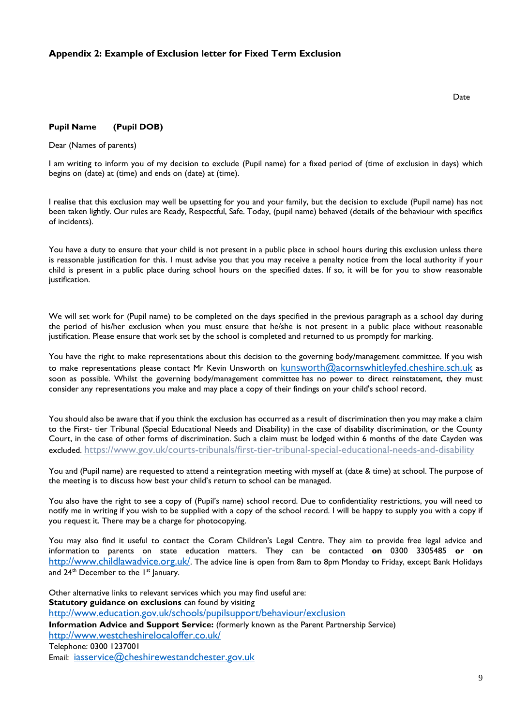#### **Appendix 2: Example of Exclusion letter for Fixed Term Exclusion**

#### **Pupil Name (Pupil DOB)**

Dear (Names of parents)

I am writing to inform you of my decision to exclude (Pupil name) for a fixed period of (time of exclusion in days) which begins on (date) at (time) and ends on (date) at (time).

I realise that this exclusion may well be upsetting for you and your family, but the decision to exclude (Pupil name) has not been taken lightly. Our rules are Ready, Respectful, Safe. Today, (pupil name) behaved (details of the behaviour with specifics of incidents).

You have a duty to ensure that your child is not present in a public place in school hours during this exclusion unless there is reasonable justification for this. I must advise you that you may receive a penalty notice from the local authority if your child is present in a public place during school hours on the specified dates. If so, it will be for you to show reasonable justification.

We will set work for (Pupil name) to be completed on the days specified in the previous paragraph as a school day during the period of his/her exclusion when you must ensure that he/she is not present in a public place without reasonable justification. Please ensure that work set by the school is completed and returned to us promptly for marking.

You have the right to make representations about this decision to the governing body/management committee. If you wish to make representations please contact Mr Kevin Unsworth on kunsworth[@acornswhitleyfed.cheshire.sch.uk](mailto:kunsworth@acornswhitleyfed.cheshire.sch.uk) as soon as possible. Whilst the governing body/management committee has no power to direct reinstatement, they must consider any representations you make and may place a copy of their findings on your child's school record.

You should also be aware that if you think the exclusion has occurred as a result of discrimination then you may make a claim to the First- tier Tribunal (Special Educational Needs and Disability) in the case of disability discrimination, or the County Court, in the case of other forms of discrimination. Such a claim must be lodged within 6 months of the date Cayden was excluded. <https://www.gov.uk/courts-tribunals/first-tier-tribunal-special-educational-needs-and-disability>

You and (Pupil name) are requested to attend a reintegration meeting with myself at (date & time) at school. The purpose of the meeting is to discuss how best your child's return to school can be managed.

You also have the right to see a copy of (Pupil's name) school record. Due to confidentiality restrictions, you will need to notify me in writing if you wish to be supplied with a copy of the school record. I will be happy to supply you with a copy if you request it. There may be a charge for photocopying.

You may also find it useful to contact the Coram Children's Legal Centre. They aim to provide free legal advice and information to parents on state education matters. They can be contacted **on** 0300 3305485 **or on**  <http://www.childlawadvice.org.uk/>. The advice line is open from 8am to 8pm Monday to Friday, except Bank Holidays and  $24<sup>th</sup>$  December to the  $1<sup>st</sup>$  January.

Other alternative links to relevant services which you may find useful are: **Statutory guidance on exclusions** can found by visiting <http://www.education.gov.uk/schools/pupilsupport/behaviour/exclusion> **Information Advice and Support Service:** (formerly known as the Parent Partnership Service) <http://www.westcheshirelocaloffer.co.uk/> Telephone: 0300 1237001 Email: [iasservice@cheshirewestandchester.gov.uk](mailto:iasservice@cheshirewestandchester.gov.uk)